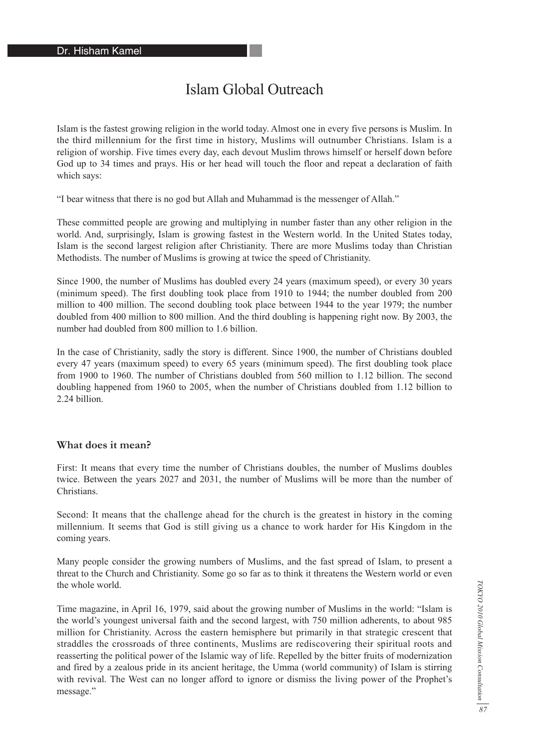# Islam Global Outreach

Islam is the fastest growing religion in the world today. Almost one in every five persons is Muslim. In the third millennium for the first time in history, Muslims will outnumber Christians. Islam is a religion of worship. Five times every day, each devout Muslim throws himself or herself down before God up to 34 times and prays. His or her head will touch the floor and repeat a declaration of faith which says:

"I bear witness that there is no god but Allah and Muhammad is the messenger of Allah."

These committed people are growing and multiplying in number faster than any other religion in the world. And, surprisingly, Islam is growing fastest in the Western world. In the United States today, Islam is the second largest religion after Christianity. There are more Muslims today than Christian Methodists. The number of Muslims is growing at twice the speed of Christianity.

Since 1900, the number of Muslims has doubled every 24 years (maximum speed), or every 30 years (minimum speed). The first doubling took place from 1910 to 1944; the number doubled from 200 million to 400 million. The second doubling took place between 1944 to the year 1979; the number doubled from 400 million to 800 million. And the third doubling is happening right now. By 2003, the number had doubled from 800 million to 1.6 billion.

In the case of Christianity, sadly the story is different. Since 1900, the number of Christians doubled every 47 years (maximum speed) to every 65 years (minimum speed). The first doubling took place from 1900 to 1960. The number of Christians doubled from 560 million to 1.12 billion. The second doubling happened from 1960 to 2005, when the number of Christians doubled from 1.12 billion to 2.24 billion.

#### **What does it mean?**

First: It means that every time the number of Christians doubles, the number of Muslims doubles twice. Between the years 2027 and 2031, the number of Muslims will be more than the number of Christians.

Second: It means that the challenge ahead for the church is the greatest in history in the coming millennium. It seems that God is still giving us a chance to work harder for His Kingdom in the coming years.

Many people consider the growing numbers of Muslims, and the fast spread of Islam, to present a threat to the Church and Christianity. Some go so far as to think it threatens the Western world or even the whole world.

Time magazine, in April 16, 1979, said about the growing number of Muslims in the world: "Islam is the world's youngest universal faith and the second largest, with 750 million adherents, to about 985 million for Christianity. Across the eastern hemisphere but primarily in that strategic crescent that straddles the crossroads of three continents, Muslims are rediscovering their spiritual roots and reasserting the political power of the Islamic way of life. Repelled by the bitter fruits of modernization and fired by a zealous pride in its ancient heritage, the Umma (world community) of Islam is stirring with revival. The West can no longer afford to ignore or dismiss the living power of the Prophet's message."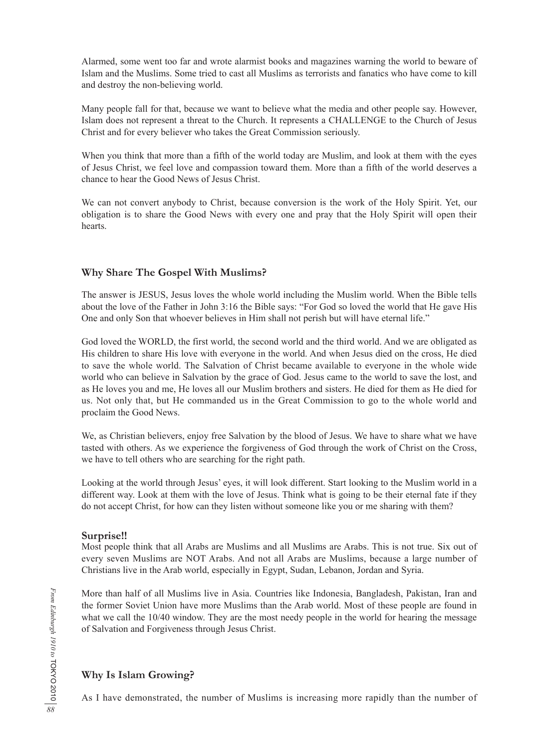Alarmed, some went too far and wrote alarmist books and magazines warning the world to beware of Islam and the Muslims. Some tried to cast all Muslims as terrorists and fanatics who have come to kill and destroy the non-believing world.

Many people fall for that, because we want to believe what the media and other people say. However, Islam does not represent a threat to the Church. It represents a CHALLENGE to the Church of Jesus Christ and for every believer who takes the Great Commission seriously.

When you think that more than a fifth of the world today are Muslim, and look at them with the eyes of Jesus Christ, we feel love and compassion toward them. More than a fifth of the world deserves a chance to hear the Good News of Jesus Christ.

We can not convert anybody to Christ, because conversion is the work of the Holy Spirit. Yet, our obligation is to share the Good News with every one and pray that the Holy Spirit will open their hearts.

# **Why Share The Gospel With Muslims?**

The answer is JESUS, Jesus loves the whole world including the Muslim world. When the Bible tells about the love of the Father in John 3:16 the Bible says: "For God so loved the world that He gave His One and only Son that whoever believes in Him shall not perish but will have eternal life."

God loved the WORLD, the first world, the second world and the third world. And we are obligated as His children to share His love with everyone in the world. And when Jesus died on the cross, He died to save the whole world. The Salvation of Christ became available to everyone in the whole wide world who can believe in Salvation by the grace of God. Jesus came to the world to save the lost, and as He loves you and me, He loves all our Muslim brothers and sisters. He died for them as He died for us. Not only that, but He commanded us in the Great Commission to go to the whole world and proclaim the Good News.

We, as Christian believers, enjoy free Salvation by the blood of Jesus. We have to share what we have tasted with others. As we experience the forgiveness of God through the work of Christ on the Cross, we have to tell others who are searching for the right path.

Looking at the world through Jesus' eyes, it will look different. Start looking to the Muslim world in a different way. Look at them with the love of Jesus. Think what is going to be their eternal fate if they do not accept Christ, for how can they listen without someone like you or me sharing with them?

#### **Surprise!!**

Most people think that all Arabs are Muslims and all Muslims are Arabs. This is not true. Six out of every seven Muslims are NOT Arabs. And not all Arabs are Muslims, because a large number of Christians live in the Arab world, especially in Egypt, Sudan, Lebanon, Jordan and Syria.

More than half of all Muslims live in Asia. Countries like Indonesia, Bangladesh, Pakistan, Iran and the former Soviet Union have more Muslims than the Arab world. Most of these people are found in what we call the 10/40 window. They are the most needy people in the world for hearing the message of Salvation and Forgiveness through Jesus Christ.

# **Why Is Islam Growing?**

As I have demonstrated, the number of Muslims is increasing more rapidly than the number of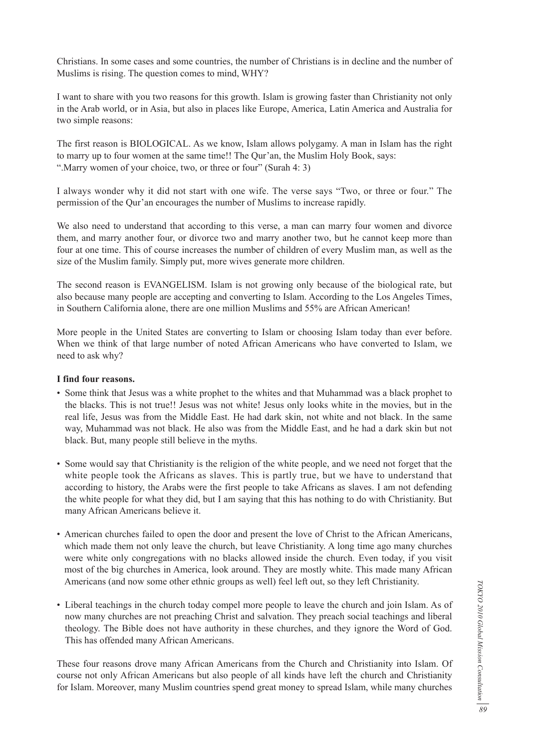Christians. In some cases and some countries, the number of Christians is in decline and the number of Muslims is rising. The question comes to mind, WHY?

I want to share with you two reasons for this growth. Islam is growing faster than Christianity not only in the Arab world, or in Asia, but also in places like Europe, America, Latin America and Australia for two simple reasons:

The first reason is BIOLOGICAL. As we know, Islam allows polygamy. A man in Islam has the right to marry up to four women at the same time!! The Qur'an, the Muslim Holy Book, says: ".Marry women of your choice, two, or three or four" (Surah 4: 3)

I always wonder why it did not start with one wife. The verse says "Two, or three or four." The permission of the Qur'an encourages the number of Muslims to increase rapidly.

We also need to understand that according to this verse, a man can marry four women and divorce them, and marry another four, or divorce two and marry another two, but he cannot keep more than four at one time. This of course increases the number of children of every Muslim man, as well as the size of the Muslim family. Simply put, more wives generate more children.

The second reason is EVANGELISM. Islam is not growing only because of the biological rate, but also because many people are accepting and converting to Islam. According to the Los Angeles Times, in Southern California alone, there are one million Muslims and 55% are African American!

More people in the United States are converting to Islam or choosing Islam today than ever before. When we think of that large number of noted African Americans who have converted to Islam, we need to ask why?

#### **I find four reasons.**

- Some think that Jesus was a white prophet to the whites and that Muhammad was a black prophet to the blacks. This is not true!! Jesus was not white! Jesus only looks white in the movies, but in the real life, Jesus was from the Middle East. He had dark skin, not white and not black. In the same way, Muhammad was not black. He also was from the Middle East, and he had a dark skin but not black. But, many people still believe in the myths.
- Some would say that Christianity is the religion of the white people, and we need not forget that the white people took the Africans as slaves. This is partly true, but we have to understand that according to history, the Arabs were the first people to take Africans as slaves. I am not defending the white people for what they did, but I am saying that this has nothing to do with Christianity. But many African Americans believe it.
- American churches failed to open the door and present the love of Christ to the African Americans, which made them not only leave the church, but leave Christianity. A long time ago many churches were white only congregations with no blacks allowed inside the church. Even today, if you visit most of the big churches in America, look around. They are mostly white. This made many African Americans (and now some other ethnic groups as well) feel left out, so they left Christianity.
- Liberal teachings in the church today compel more people to leave the church and join Islam. As of now many churches are not preaching Christ and salvation. They preach social teachings and liberal theology. The Bible does not have authority in these churches, and they ignore the Word of God. This has offended many African Americans.

These four reasons drove many African Americans from the Church and Christianity into Islam. Of course not only African Americans but also people of all kinds have left the church and Christianity for Islam. Moreover, many Muslim countries spend great money to spread Islam, while many churches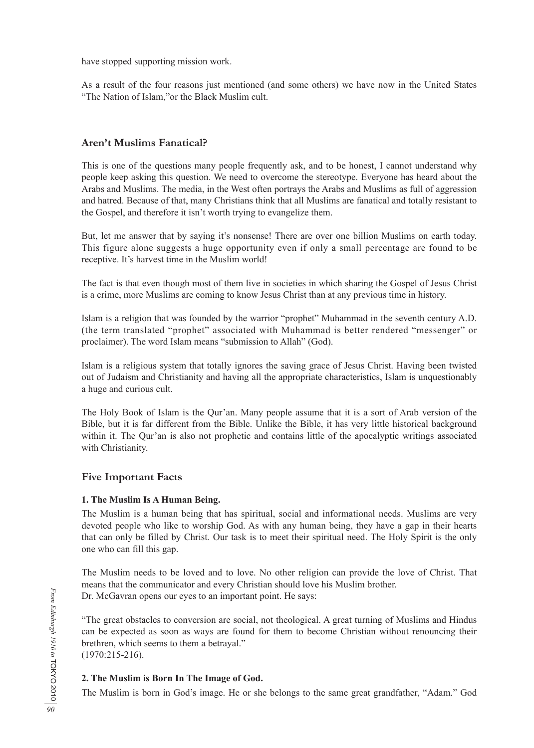have stopped supporting mission work.

As a result of the four reasons just mentioned (and some others) we have now in the United States "The Nation of Islam,"or the Black Muslim cult.

# **Aren't Muslims Fanatical?**

This is one of the questions many people frequently ask, and to be honest, I cannot understand why people keep asking this question. We need to overcome the stereotype. Everyone has heard about the Arabs and Muslims. The media, in the West often portrays the Arabs and Muslims as full of aggression and hatred. Because of that, many Christians think that all Muslims are fanatical and totally resistant to the Gospel, and therefore it isn't worth trying to evangelize them.

But, let me answer that by saying it's nonsense! There are over one billion Muslims on earth today. This figure alone suggests a huge opportunity even if only a small percentage are found to be receptive. It's harvest time in the Muslim world!

The fact is that even though most of them live in societies in which sharing the Gospel of Jesus Christ is a crime, more Muslims are coming to know Jesus Christ than at any previous time in history.

Islam is a religion that was founded by the warrior "prophet" Muhammad in the seventh century A.D. (the term translated "prophet" associated with Muhammad is better rendered "messenger" or proclaimer). The word Islam means "submission to Allah" (God).

Islam is a religious system that totally ignores the saving grace of Jesus Christ. Having been twisted out of Judaism and Christianity and having all the appropriate characteristics, Islam is unquestionably a huge and curious cult.

The Holy Book of Islam is the Qur'an. Many people assume that it is a sort of Arab version of the Bible, but it is far different from the Bible. Unlike the Bible, it has very little historical background within it. The Qur'an is also not prophetic and contains little of the apocalyptic writings associated with Christianity.

# **Five Important Facts**

# **1. The Muslim Is A Human Being.**

The Muslim is a human being that has spiritual, social and informational needs. Muslims are very devoted people who like to worship God. As with any human being, they have a gap in their hearts that can only be filled by Christ. Our task is to meet their spiritual need. The Holy Spirit is the only one who can fill this gap.

The Muslim needs to be loved and to love. No other religion can provide the love of Christ. That means that the communicator and every Christian should love his Muslim brother. Dr. McGavran opens our eyes to an important point. He says:

"The great obstacles to conversion are social, not theological. A great turning of Muslims and Hindus can be expected as soon as ways are found for them to become Christian without renouncing their brethren, which seems to them a betrayal."

(1970:215-216).

# **2. The Muslim is Born In The Image of God.**

The Muslim is born in God's image. He or she belongs to the same great grandfather, "Adam." God